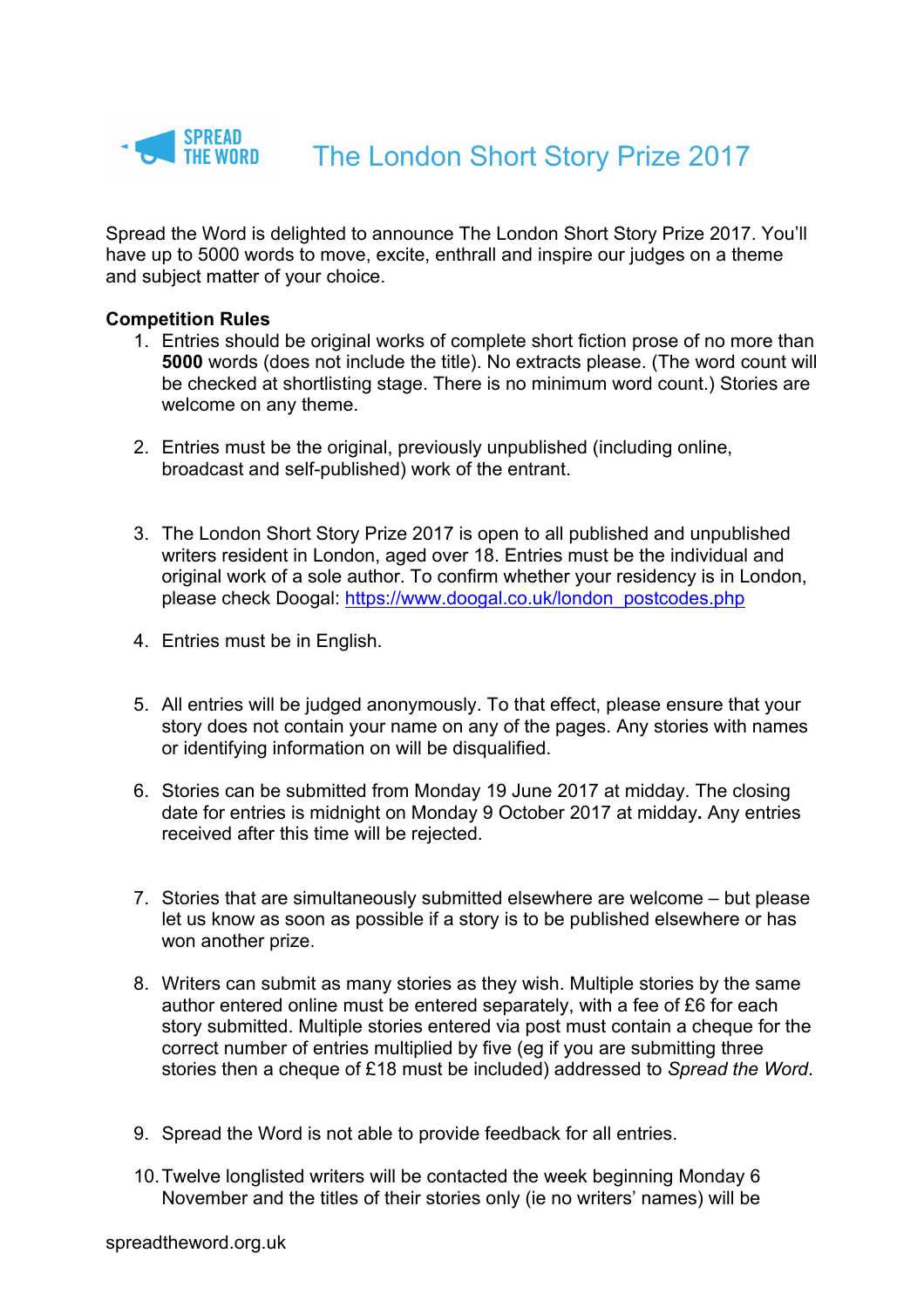

Spread the Word is delighted to announce The London Short Story Prize 2017. You'll have up to 5000 words to move, excite, enthrall and inspire our judges on a theme and subject matter of your choice.

## **Competition Rules**

- 1. Entries should be original works of complete short fiction prose of no more than **5000** words (does not include the title). No extracts please. (The word count will be checked at shortlisting stage. There is no minimum word count.) Stories are welcome on any theme.
- 2. Entries must be the original, previously unpublished (including online, broadcast and self-published) work of the entrant.
- 3. The London Short Story Prize 2017 is open to all published and unpublished writers resident in London, aged over 18. Entries must be the individual and original work of a sole author. To confirm whether your residency is in London, please check Doogal: https://www.doogal.co.uk/london\_postcodes.php
- 4. Entries must be in English.
- 5. All entries will be judged anonymously. To that effect, please ensure that your story does not contain your name on any of the pages. Any stories with names or identifying information on will be disqualified.
- 6. Stories can be submitted from Monday 19 June 2017 at midday. The closing date for entries is midnight on Monday 9 October 2017 at midday**.** Any entries received after this time will be rejected.
- 7. Stories that are simultaneously submitted elsewhere are welcome but please let us know as soon as possible if a story is to be published elsewhere or has won another prize.
- 8. Writers can submit as many stories as they wish. Multiple stories by the same author entered online must be entered separately, with a fee of £6 for each story submitted. Multiple stories entered via post must contain a cheque for the correct number of entries multiplied by five (eg if you are submitting three stories then a cheque of £18 must be included) addressed to *Spread the Word*.
- 9. Spread the Word is not able to provide feedback for all entries.
- 10.Twelve longlisted writers will be contacted the week beginning Monday 6 November and the titles of their stories only (ie no writers' names) will be